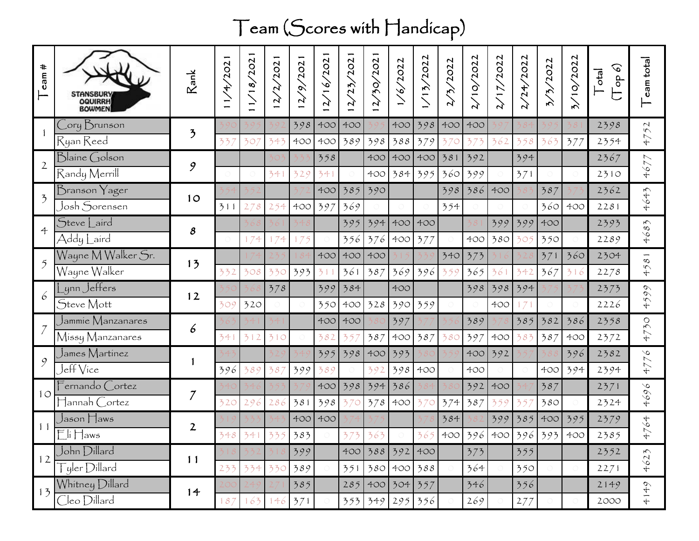## Team (Scores with Handicap)

| $\ddot{}$<br>cam         | STANSBURY<br>OQUIRRH<br>BOWMEN                                                   | Rank                     | 2021<br>4 | 2021<br>1/18/ | /202<br>$\mathcal{L}$<br>$\mathbf{r}$ | 2/9/202    | 16/2021<br>$\mathbf{v}$ | 1/202<br>(25)<br>$\mathbf{r}$ | 750/202<br>$\mathcal{L}$ | 1/6/2022   | 1/13/2022  | 7/2022     | 2/10/2022  | 17/2022    | 2/24/2022              | 3/2022     | 3/10/2022  | $(9$ do<br>cta | eam total                              |
|--------------------------|----------------------------------------------------------------------------------|--------------------------|-----------|---------------|---------------------------------------|------------|-------------------------|-------------------------------|--------------------------|------------|------------|------------|------------|------------|------------------------|------------|------------|----------------|----------------------------------------|
|                          | Cory Brunson<br>Ryan Reed                                                        | $\overline{\mathcal{L}}$ | 337       | 307           | 343                                   | 398<br>400 | 400<br>400              | 400<br>389                    | 398                      | 400<br>388 | 398<br>379 | 400<br>370 | 400<br>37  | 362        | 358                    | 363        | 377        | 2398<br>2354   | 52<br>47                               |
| $\overline{2}$           | Blaine Golson<br>Randy Merrill                                                   | 9                        |           |               | 341                                   | 329        | 358<br>341              |                               | 400<br>400               | 400<br>384 | 400<br>395 | 381<br>360 | 392<br>399 |            | 394<br>371             |            |            | 2367<br>2310   | 4677                                   |
| $\overline{\mathcal{L}}$ | Branson Yager<br>Josh Sorensen                                                   | 10                       | 311       | 278           | 254                                   | 400        | 400<br>397              | 385<br>369                    | 390                      |            |            | 398<br>354 | 386        | 400        |                        | 387<br>360 | 400        | 2362<br>2281   | 4643                                   |
| $\ddot{\tau}$            | Steve Laird<br>Addy Laird                                                        | 8                        |           | 174           | 174                                   | 175        |                         | 395<br>356                    | 394<br>376               | 400<br>400 | 400<br>377 |            | 400        | 399<br>380 | 399<br>305             | 400<br>350 |            | 2393<br>2289   | ζ<br>468                               |
|                          | Wayne M Walker Sr.<br>Wayne Walker                                               | 13                       | 332       | 308           | 330                                   | 393        | 400<br>311              | 400<br>361                    | 400<br>387               | 369        | 396        | 340<br>359 | 373<br>365 | 361        | 342                    | 371<br>367 | 360<br>316 | 2304<br>2278   | $\overline{\mathcal{S}}$<br>45         |
| 6                        | ynn Jeffers<br>Steve Mott                                                        | 12                       | 309       | 320           | 378                                   |            | 399<br>350              | 384<br>400                    | 328                      | 400<br>390 | 359        |            | 398        | 398<br>400 | 394<br>$\mathcal{T}$   |            |            | 2373<br>2226   | $\mathcal{O}$<br>$\mathcal{O}$<br>45   |
|                          | Jammie Manzanares<br>Missy Manzanares                                            | 6                        | 341       | 312           | 310                                   |            | 400<br>382              | 400<br>35                     | 387                      | 397<br>400 | 387        | 380        | 389<br>397 | 400        | 385<br>383             | 382<br>387 | 386<br>400 | 2358<br>2372   | $\zeta$<br>47                          |
| 9                        | James Martínez<br>Jeff Vice                                                      |                          | 396       | 389           | 387                                   | 399        | 395<br>389              | 398                           | 400<br>392               | 393<br>398 | 400        |            | 400<br>400 | 392        |                        | 400        | 396<br>394 | 2382<br>2394   | $\sim$<br>477                          |
| $1^{\circ}$              | $\mathsf{F}$ ernando $\mathsf{C}$ ortez<br>$\mathsf{H}$ annah $\mathsf{C}$ ortez | $\mathcal I$             | 320       | 296           | 286                                   | 381        | 400<br>398              | 398<br>370                    | 394<br>378               | 386<br>400 | 370        | 374        | 392<br>387 | 400<br>359 |                        | 387<br>380 |            | 2371<br>2324   | $\sim$<br>$\mathcal{O}$<br>46          |
| 11                       | Jason Haws<br>$E$ li $H$ aws                                                     | $\mathbf{2}$             | 348       | 341           | 335                                   | 400<br>383 | 400                     | 373                           | 363                      |            | 365        | 384        |            | 399        | 385<br>400 396 400 396 | 400<br>393 | 395<br>400 | 2379<br>2385   | 64<br>$\begin{array}{c} 4 \end{array}$ |
| 12                       | John Dillard<br>$\overline{\int}$ yler $D$ illard                                | 11                       | 233       | 334           | 330                                   | 399<br>389 |                         | 400<br>351                    | 388<br>380               | 392<br>400 | 400<br>388 |            | 373<br>364 |            | 355<br>350             |            |            | 2352<br>2271   | 4623                                   |
| 13                       | Whitney Dillard<br>Cleo Dillard                                                  | 14                       | 187       | 163           | 146                                   | 385<br>371 |                         | 285<br>353                    | 400<br>349               | 304<br>295 | 357<br>356 |            | 346<br>269 |            | 356<br>277             |            |            | 2149<br>2000   | 4149                                   |